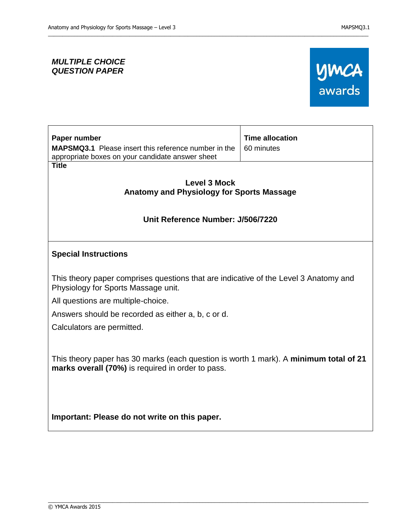## *MULTIPLE CHOICE QUESTION PAPER*



| Paper number                                                                                                                               | <b>Time allocation</b> |
|--------------------------------------------------------------------------------------------------------------------------------------------|------------------------|
| <b>MAPSMQ3.1</b> Please insert this reference number in the<br>appropriate boxes on your candidate answer sheet                            | 60 minutes             |
| <b>Title</b>                                                                                                                               |                        |
| <b>Level 3 Mock</b>                                                                                                                        |                        |
| Anatomy and Physiology for Sports Massage                                                                                                  |                        |
|                                                                                                                                            |                        |
| Unit Reference Number: J/506/7220                                                                                                          |                        |
|                                                                                                                                            |                        |
| <b>Special Instructions</b>                                                                                                                |                        |
| This theory paper comprises questions that are indicative of the Level 3 Anatomy and<br>Physiology for Sports Massage unit.                |                        |
| All questions are multiple-choice.                                                                                                         |                        |
| Answers should be recorded as either a, b, c or d.                                                                                         |                        |
| Calculators are permitted.                                                                                                                 |                        |
|                                                                                                                                            |                        |
| This theory paper has 30 marks (each question is worth 1 mark). A minimum total of 21<br>marks overall (70%) is required in order to pass. |                        |
| Important: Please do not write on this paper.                                                                                              |                        |
|                                                                                                                                            |                        |

\_\_\_\_\_\_\_\_\_\_\_\_\_\_\_\_\_\_\_\_\_\_\_\_\_\_\_\_\_\_\_\_\_\_\_\_\_\_\_\_\_\_\_\_\_\_\_\_\_\_\_\_\_\_\_\_\_\_\_\_\_\_\_\_\_\_\_\_\_\_\_\_\_\_\_\_\_\_\_\_\_\_\_\_\_\_\_\_\_\_\_\_\_\_\_\_\_\_\_\_\_\_\_\_\_\_\_\_\_\_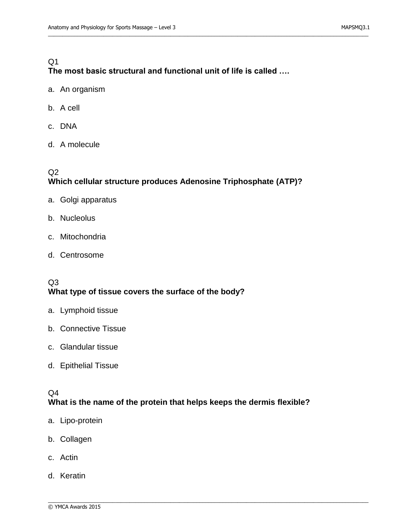## $Q<sub>1</sub>$ **The most basic structural and functional unit of life is called ….**

\_\_\_\_\_\_\_\_\_\_\_\_\_\_\_\_\_\_\_\_\_\_\_\_\_\_\_\_\_\_\_\_\_\_\_\_\_\_\_\_\_\_\_\_\_\_\_\_\_\_\_\_\_\_\_\_\_\_\_\_\_\_\_\_\_\_\_\_\_\_\_\_\_\_\_\_\_\_\_\_\_\_\_\_\_\_\_\_\_\_\_\_\_\_\_\_\_\_\_\_\_\_\_\_\_\_\_\_\_\_

- a. An organism
- b. A cell
- c. DNA
- d. A molecule

## Q2 **Which cellular structure produces Adenosine Triphosphate (ATP)?**

- a. Golgi apparatus
- b. Nucleolus
- c. Mitochondria
- d. Centrosome

#### Q3 **What type of tissue covers the surface of the body?**

- a. Lymphoid tissue
- b. Connective Tissue
- c. Glandular tissue
- d. Epithelial Tissue

#### Q4

#### **What is the name of the protein that helps keeps the dermis flexible?**

- a. Lipo-protein
- b. Collagen
- c. Actin
- d. Keratin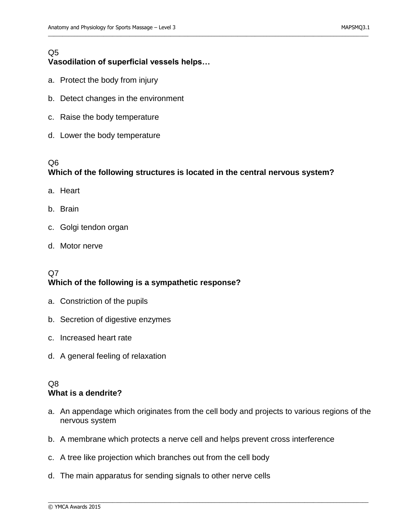## **Vasodilation of superficial vessels helps…**

- a. Protect the body from injury
- b. Detect changes in the environment
- c. Raise the body temperature
- d. Lower the body temperature

#### Q6

Q5

## **Which of the following structures is located in the central nervous system?**

\_\_\_\_\_\_\_\_\_\_\_\_\_\_\_\_\_\_\_\_\_\_\_\_\_\_\_\_\_\_\_\_\_\_\_\_\_\_\_\_\_\_\_\_\_\_\_\_\_\_\_\_\_\_\_\_\_\_\_\_\_\_\_\_\_\_\_\_\_\_\_\_\_\_\_\_\_\_\_\_\_\_\_\_\_\_\_\_\_\_\_\_\_\_\_\_\_\_\_\_\_\_\_\_\_\_\_\_\_\_

- a. Heart
- b. Brain
- c. Golgi tendon organ
- d. Motor nerve

## $O7$ **Which of the following is a sympathetic response?**

- a. Constriction of the pupils
- b. Secretion of digestive enzymes
- c. Increased heart rate
- d. A general feeling of relaxation

#### Q8 **What is a dendrite?**

a. An appendage which originates from the cell body and projects to various regions of the nervous system

- b. A membrane which protects a nerve cell and helps prevent cross interference
- c. A tree like projection which branches out from the cell body
- d. The main apparatus for sending signals to other nerve cells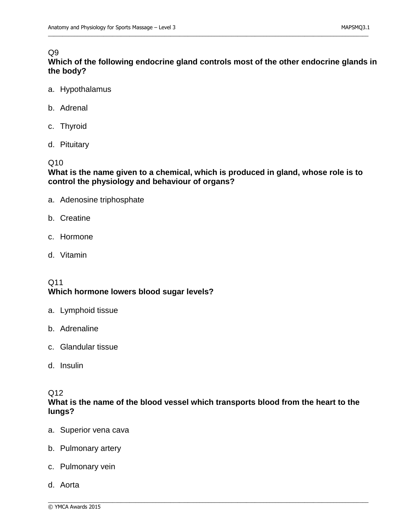#### Q9

**Which of the following endocrine gland controls most of the other endocrine glands in the body?**

\_\_\_\_\_\_\_\_\_\_\_\_\_\_\_\_\_\_\_\_\_\_\_\_\_\_\_\_\_\_\_\_\_\_\_\_\_\_\_\_\_\_\_\_\_\_\_\_\_\_\_\_\_\_\_\_\_\_\_\_\_\_\_\_\_\_\_\_\_\_\_\_\_\_\_\_\_\_\_\_\_\_\_\_\_\_\_\_\_\_\_\_\_\_\_\_\_\_\_\_\_\_\_\_\_\_\_\_\_\_

- a. Hypothalamus
- b. Adrenal
- c. Thyroid
- d. Pituitary

#### Q10

#### **What is the name given to a chemical, which is produced in gland, whose role is to control the physiology and behaviour of organs?**

- a. Adenosine triphosphate
- b. Creatine
- c. Hormone
- d. Vitamin

#### Q11 **Which hormone lowers blood sugar levels?**

- a. Lymphoid tissue
- b. Adrenaline
- c. Glandular tissue
- d. Insulin

#### Q12

#### **What is the name of the blood vessel which transports blood from the heart to the lungs?**

- a. Superior vena cava
- b. Pulmonary artery
- c. Pulmonary vein
- d. Aorta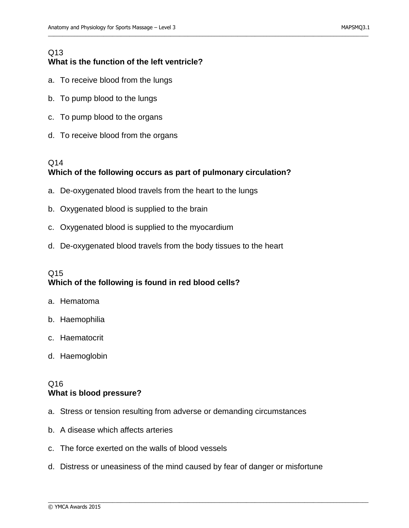## Q13 **What is the function of the left ventricle?**

- a. To receive blood from the lungs
- b. To pump blood to the lungs
- c. To pump blood to the organs
- d. To receive blood from the organs

## Q14 **Which of the following occurs as part of pulmonary circulation?**

\_\_\_\_\_\_\_\_\_\_\_\_\_\_\_\_\_\_\_\_\_\_\_\_\_\_\_\_\_\_\_\_\_\_\_\_\_\_\_\_\_\_\_\_\_\_\_\_\_\_\_\_\_\_\_\_\_\_\_\_\_\_\_\_\_\_\_\_\_\_\_\_\_\_\_\_\_\_\_\_\_\_\_\_\_\_\_\_\_\_\_\_\_\_\_\_\_\_\_\_\_\_\_\_\_\_\_\_\_\_

- a. De-oxygenated blood travels from the heart to the lungs
- b. Oxygenated blood is supplied to the brain
- c. Oxygenated blood is supplied to the myocardium
- d. De-oxygenated blood travels from the body tissues to the heart

## Q15 **Which of the following is found in red blood cells?**

- a. Hematoma
- b. Haemophilia
- c. Haematocrit
- d. Haemoglobin

## Q16 **What is blood pressure?**

- a. Stress or tension resulting from adverse or demanding circumstances
- b. A disease which affects arteries
- c. The force exerted on the walls of blood vessels
- d. Distress or uneasiness of the mind caused by fear of danger or misfortune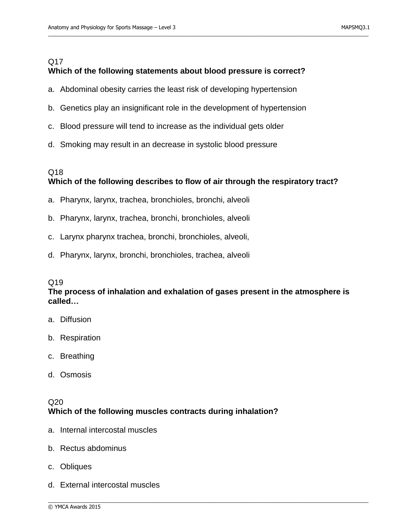## Q17 **Which of the following statements about blood pressure is correct?**

\_\_\_\_\_\_\_\_\_\_\_\_\_\_\_\_\_\_\_\_\_\_\_\_\_\_\_\_\_\_\_\_\_\_\_\_\_\_\_\_\_\_\_\_\_\_\_\_\_\_\_\_\_\_\_\_\_\_\_\_\_\_\_\_\_\_\_\_\_\_\_\_\_\_\_\_\_\_\_\_\_\_\_\_\_\_\_\_\_\_\_\_\_\_\_\_\_\_\_\_\_\_\_\_\_\_\_\_\_\_

- a. Abdominal obesity carries the least risk of developing hypertension
- b. Genetics play an insignificant role in the development of hypertension
- c. Blood pressure will tend to increase as the individual gets older
- d. Smoking may result in an decrease in systolic blood pressure

## Q18 **Which of the following describes to flow of air through the respiratory tract?**

- a. Pharynx, larynx, trachea, bronchioles, bronchi, alveoli
- b. Pharynx, larynx, trachea, bronchi, bronchioles, alveoli
- c. Larynx pharynx trachea, bronchi, bronchioles, alveoli,
- d. Pharynx, larynx, bronchi, bronchioles, trachea, alveoli

#### Q19

#### **The process of inhalation and exhalation of gases present in the atmosphere is called…**

\_\_\_\_\_\_\_\_\_\_\_\_\_\_\_\_\_\_\_\_\_\_\_\_\_\_\_\_\_\_\_\_\_\_\_\_\_\_\_\_\_\_\_\_\_\_\_\_\_\_\_\_\_\_\_\_\_\_\_\_\_\_\_\_\_\_\_\_\_\_\_\_\_\_\_\_\_\_\_\_\_\_\_\_\_\_\_\_\_\_\_\_\_\_\_\_\_\_\_\_\_\_\_\_\_\_\_\_\_\_

- a. Diffusion
- b. Respiration
- c. Breathing
- d. Osmosis

#### $Q20$ **Which of the following muscles contracts during inhalation?**

- a. Internal intercostal muscles
- b. Rectus abdominus
- c. Obliques
- d. External intercostal muscles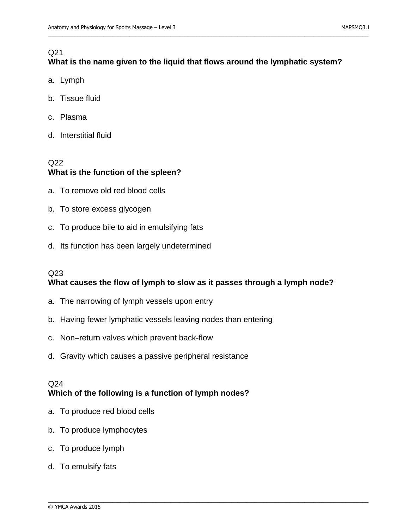# Q21

# **What is the name given to the liquid that flows around the lymphatic system?**

\_\_\_\_\_\_\_\_\_\_\_\_\_\_\_\_\_\_\_\_\_\_\_\_\_\_\_\_\_\_\_\_\_\_\_\_\_\_\_\_\_\_\_\_\_\_\_\_\_\_\_\_\_\_\_\_\_\_\_\_\_\_\_\_\_\_\_\_\_\_\_\_\_\_\_\_\_\_\_\_\_\_\_\_\_\_\_\_\_\_\_\_\_\_\_\_\_\_\_\_\_\_\_\_\_\_\_\_\_\_

- a. Lymph
- b. Tissue fluid
- c. Plasma
- d. Interstitial fluid

## Q22 **What is the function of the spleen?**

- a. To remove old red blood cells
- b. To store excess glycogen
- c. To produce bile to aid in emulsifying fats
- d. Its function has been largely undetermined

#### $O23$

## **What causes the flow of lymph to slow as it passes through a lymph node?**

\_\_\_\_\_\_\_\_\_\_\_\_\_\_\_\_\_\_\_\_\_\_\_\_\_\_\_\_\_\_\_\_\_\_\_\_\_\_\_\_\_\_\_\_\_\_\_\_\_\_\_\_\_\_\_\_\_\_\_\_\_\_\_\_\_\_\_\_\_\_\_\_\_\_\_\_\_\_\_\_\_\_\_\_\_\_\_\_\_\_\_\_\_\_\_\_\_\_\_\_\_\_\_\_\_\_\_\_\_\_

- a. The narrowing of lymph vessels upon entry
- b. Having fewer lymphatic vessels leaving nodes than entering
- c. Non–return valves which prevent back-flow
- d. Gravity which causes a passive peripheral resistance

#### Q24 **Which of the following is a function of lymph nodes?**

- a. To produce red blood cells
- b. To produce lymphocytes
- c. To produce lymph
- d. To emulsify fats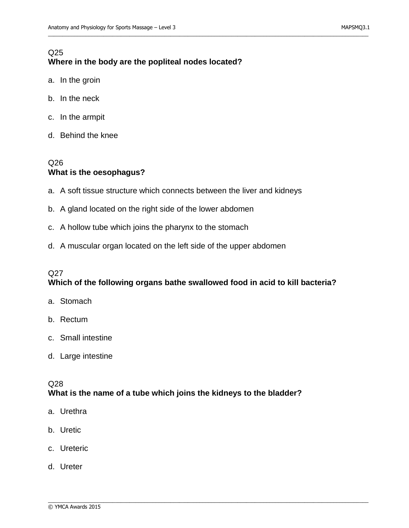## Q25 **Where in the body are the popliteal nodes located?**

- a. In the groin
- b. In the neck
- c. In the armpit
- d. Behind the knee

## Q26 **What is the oesophagus?**

a. A soft tissue structure which connects between the liver and kidneys

\_\_\_\_\_\_\_\_\_\_\_\_\_\_\_\_\_\_\_\_\_\_\_\_\_\_\_\_\_\_\_\_\_\_\_\_\_\_\_\_\_\_\_\_\_\_\_\_\_\_\_\_\_\_\_\_\_\_\_\_\_\_\_\_\_\_\_\_\_\_\_\_\_\_\_\_\_\_\_\_\_\_\_\_\_\_\_\_\_\_\_\_\_\_\_\_\_\_\_\_\_\_\_\_\_\_\_\_\_\_

- b. A gland located on the right side of the lower abdomen
- c. A hollow tube which joins the pharynx to the stomach
- d. A muscular organ located on the left side of the upper abdomen

#### Q<sub>27</sub>

#### **Which of the following organs bathe swallowed food in acid to kill bacteria?**

- a. Stomach
- b. Rectum
- c. Small intestine
- d. Large intestine

#### Q28 **What is the name of a tube which joins the kidneys to the bladder?**

- a. Urethra
- b. Uretic
- c. Ureteric
- d. Ureter